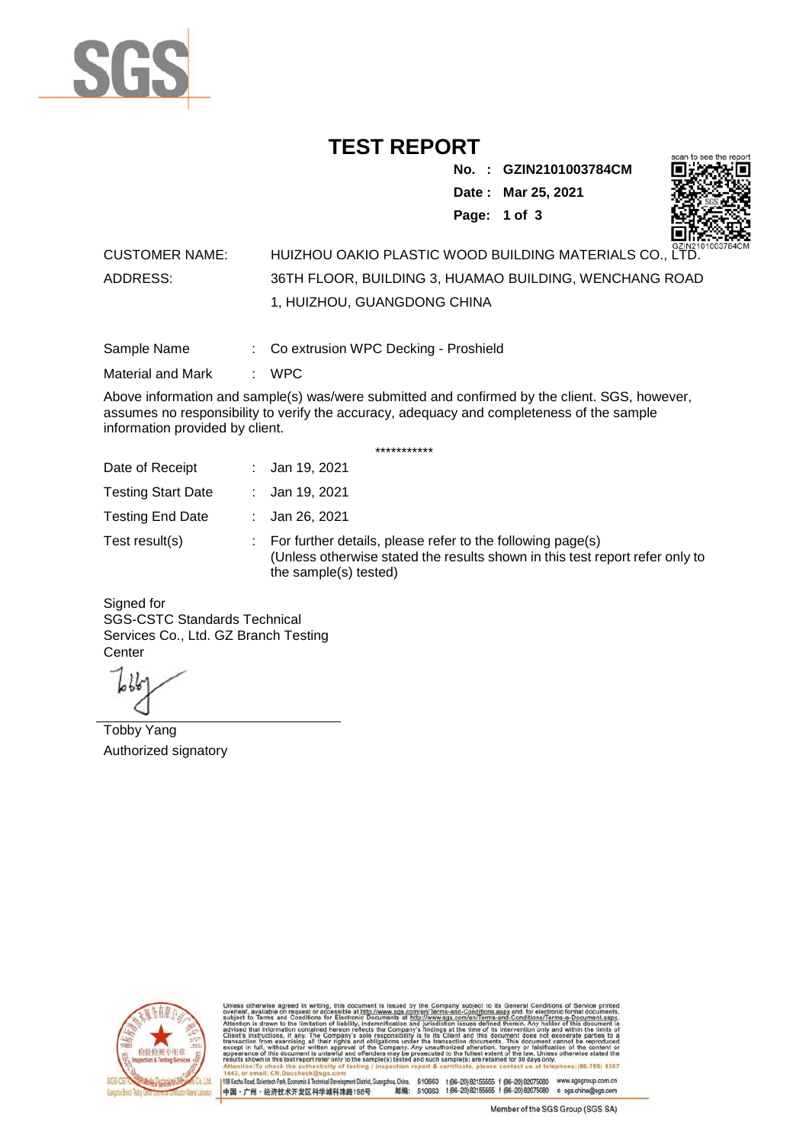

## **TEST REPORT**

**No. : GZIN2101003784CM**

**Date : Mar 25, 2021**



**Page: 1 of 3** 

## CUSTOMER NAME: HUIZHOU OAKIO PLASTIC WOOD BUILDING MATERIALS CO., LTD. ADDRESS: 36TH FLOOR, BUILDING 3, HUAMAO BUILDING, WENCHANG ROAD 1, HUIZHOU, GUANGDONG CHINA

Sample Name : Co extrusion WPC Decking - Proshield

Material and Mark : WPC

Above information and sample(s) was/were submitted and confirmed by the client. SGS, however, assumes no responsibility to verify the accuracy, adequacy and completeness of the sample information provided by client.

\*\*\*\*\*\*\*\*\*\*\*

| Date of Receipt           | : Jan 19, 2021                                                                                                                                                        |
|---------------------------|-----------------------------------------------------------------------------------------------------------------------------------------------------------------------|
| <b>Testing Start Date</b> | : Jan 19, 2021                                                                                                                                                        |
| <b>Testing End Date</b>   | : Jan 26, 2021                                                                                                                                                        |
| Test result(s)            | : For further details, please refer to the following page(s)<br>(Unless otherwise stated the results shown in this test report refer only to<br>the sample(s) tested) |

Signed for SGS-CSTC Standards Technical Services Co., Ltd. GZ Branch Testing **Center** 

Tobby Yang Authorized signatory



510663 t(86-20) 82155555 f (86-20) 82075080 www.sgsgroup.com.cn<br>510663 t(86-20) 82155555 f (86-20) 82075080 e sgs.china@sgs.com 198 Kezhu Road, Scientech Park, Eco nomic & Technical Devel tou, China. ant District C 邮编: 中国·广州·经济技术开发区科学城科珠路198号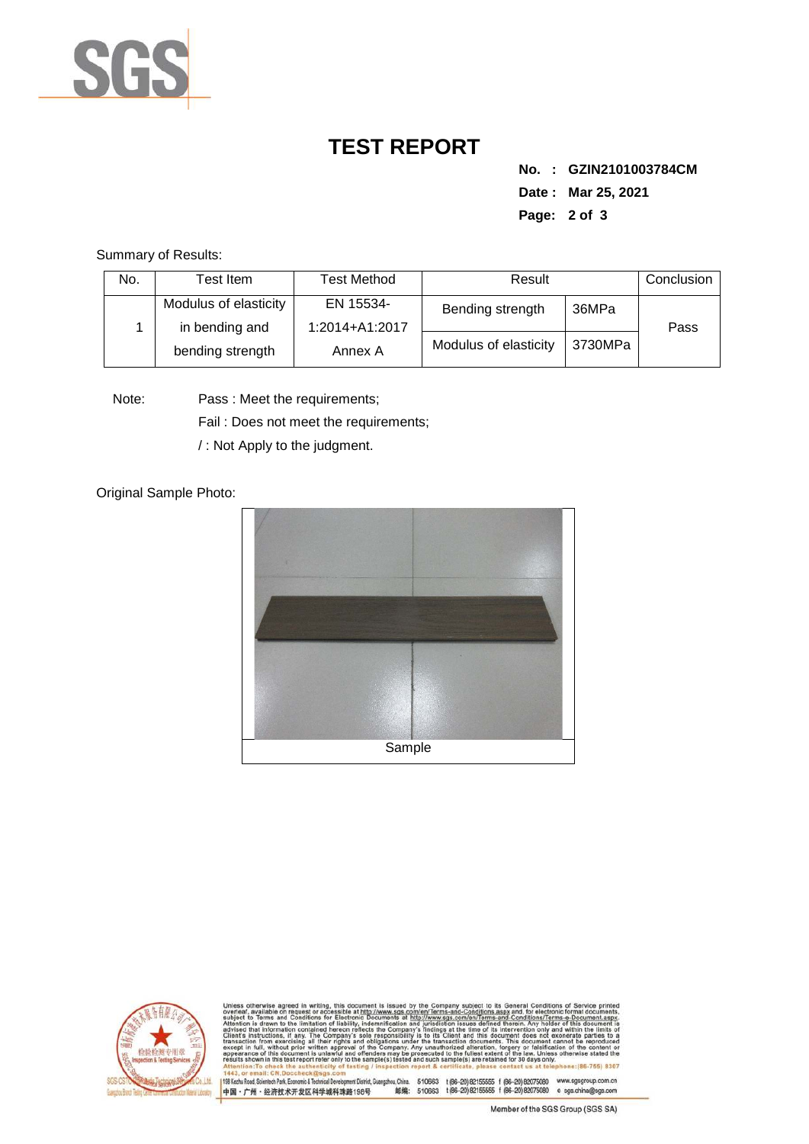

## **TEST REPORT**

**No. : GZIN2101003784CM Date : Mar 25, 2021 Page: 2 of 3** 

Summary of Results:

| No. | Test Item.            | Test Method    | Result                |         | Conclusion |
|-----|-----------------------|----------------|-----------------------|---------|------------|
|     | Modulus of elasticity | EN 15534-      | Bending strength      | 36MPa   |            |
|     | in bending and        | 1:2014+A1:2017 |                       |         | Pass       |
|     | bending strength      | Annex A        | Modulus of elasticity | 3730MPa |            |

Note: Pass : Meet the requirements;

Fail : Does not meet the requirements;

/ : Not Apply to the judgment.

Original Sample Photo:





Conditions/Terms-e-Docu<br>rein. Any holder of this o 8307 mentDistrict,Guangzhou,China. 510663 t(86-20)82155555 f (86-20)82075080 www.sgsgroup.com.cn<br>踏198号 邮编: 510663 t(86-20)82155555 f (86-20)82075080 e sgs.china@sgs.com 198 Kezhu Road, Scientech Park, Economic & Technical Develop 中国·广州·经济技术开发区科学城科珠路198号